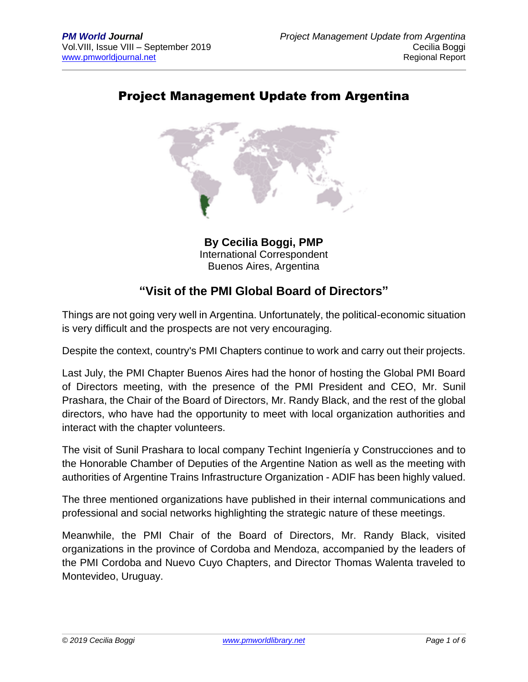## Project Management Update from Argentina



**By Cecilia Boggi, PMP** International Correspondent Buenos Aires, Argentina

### **"Visit of the PMI Global Board of Directors"**

Things are not going very well in Argentina. Unfortunately, the political-economic situation is very difficult and the prospects are not very encouraging.

Despite the context, country's PMI Chapters continue to work and carry out their projects.

Last July, the PMI Chapter Buenos Aires had the honor of hosting the Global PMI Board of Directors meeting, with the presence of the PMI President and CEO, Mr. Sunil Prashara, the Chair of the Board of Directors, Mr. Randy Black, and the rest of the global directors, who have had the opportunity to meet with local organization authorities and interact with the chapter volunteers.

The visit of Sunil Prashara to local company Techint Ingeniería y Construcciones and to the Honorable Chamber of Deputies of the Argentine Nation as well as the meeting with authorities of Argentine Trains Infrastructure Organization - ADIF has been highly valued.

The three mentioned organizations have published in their internal communications and professional and social networks highlighting the strategic nature of these meetings.

Meanwhile, the PMI Chair of the Board of Directors, Mr. Randy Black, visited organizations in the province of Cordoba and Mendoza, accompanied by the leaders of the PMI Cordoba and Nuevo Cuyo Chapters, and Director Thomas Walenta traveled to Montevideo, Uruguay.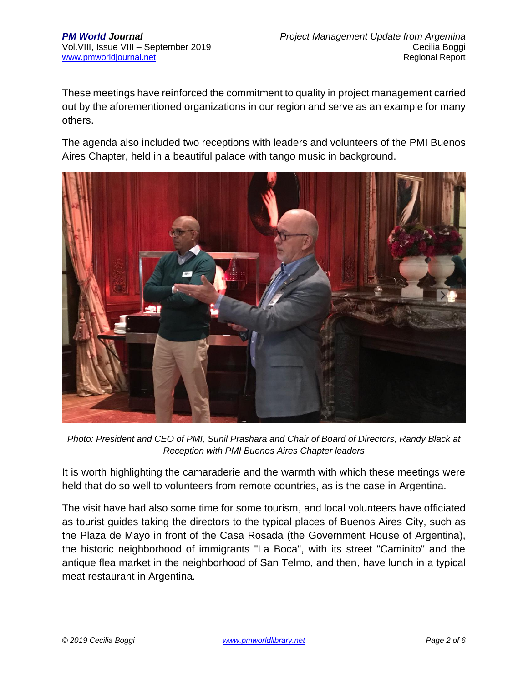These meetings have reinforced the commitment to quality in project management carried out by the aforementioned organizations in our region and serve as an example for many others.

The agenda also included two receptions with leaders and volunteers of the PMI Buenos Aires Chapter, held in a beautiful palace with tango music in background.



*Photo: President and CEO of PMI, Sunil Prashara and Chair of Board of Directors, Randy Black at Reception with PMI Buenos Aires Chapter leaders*

It is worth highlighting the camaraderie and the warmth with which these meetings were held that do so well to volunteers from remote countries, as is the case in Argentina.

The visit have had also some time for some tourism, and local volunteers have officiated as tourist guides taking the directors to the typical places of Buenos Aires City, such as the Plaza de Mayo in front of the Casa Rosada (the Government House of Argentina), the historic neighborhood of immigrants "La Boca", with its street "Caminito" and the antique flea market in the neighborhood of San Telmo, and then, have lunch in a typical meat restaurant in Argentina.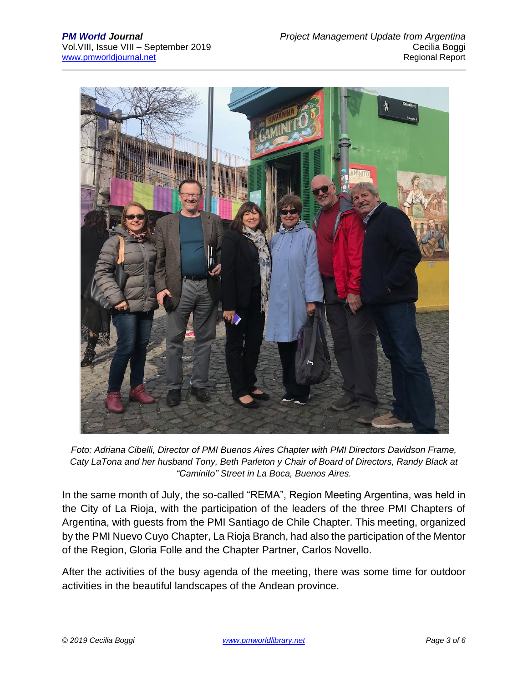

*Foto: Adriana Cibelli, Director of PMI Buenos Aires Chapter with PMI Directors Davidson Frame, Caty LaTona and her husband Tony, Beth Parleton y Chair of Board of Directors, Randy Black at "Caminito" Street in La Boca, Buenos Aires.*

In the same month of July, the so-called "REMA", Region Meeting Argentina, was held in the City of La Rioja, with the participation of the leaders of the three PMI Chapters of Argentina, with guests from the PMI Santiago de Chile Chapter. This meeting, organized by the PMI Nuevo Cuyo Chapter, La Rioja Branch, had also the participation of the Mentor of the Region, Gloria Folle and the Chapter Partner, Carlos Novello.

After the activities of the busy agenda of the meeting, there was some time for outdoor activities in the beautiful landscapes of the Andean province.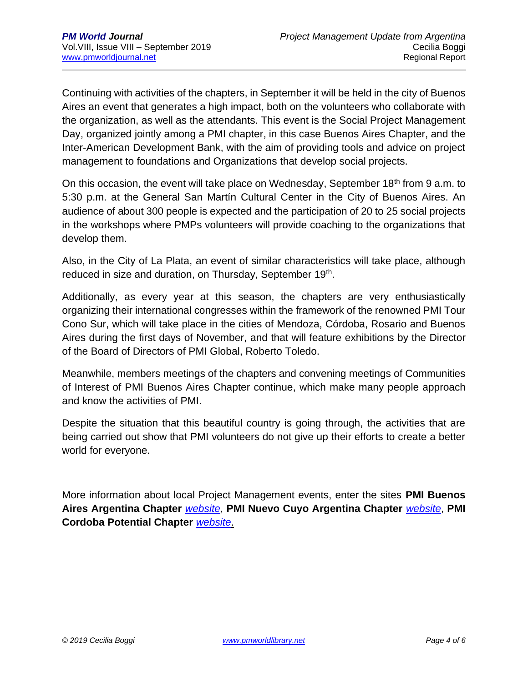Continuing with activities of the chapters, in September it will be held in the city of Buenos Aires an event that generates a high impact, both on the volunteers who collaborate with the organization, as well as the attendants. This event is the Social Project Management Day, organized jointly among a PMI chapter, in this case Buenos Aires Chapter, and the Inter-American Development Bank, with the aim of providing tools and advice on project management to foundations and Organizations that develop social projects.

On this occasion, the event will take place on Wednesday, September 18<sup>th</sup> from 9 a.m. to 5:30 p.m. at the General San Martín Cultural Center in the City of Buenos Aires. An audience of about 300 people is expected and the participation of 20 to 25 social projects in the workshops where PMPs volunteers will provide coaching to the organizations that develop them.

Also, in the City of La Plata, an event of similar characteristics will take place, although reduced in size and duration, on Thursday, September 19<sup>th</sup>.

Additionally, as every year at this season, the chapters are very enthusiastically organizing their international congresses within the framework of the renowned PMI Tour Cono Sur, which will take place in the cities of Mendoza, Córdoba, Rosario and Buenos Aires during the first days of November, and that will feature exhibitions by the Director of the Board of Directors of PMI Global, Roberto Toledo.

Meanwhile, members meetings of the chapters and convening meetings of Communities of Interest of PMI Buenos Aires Chapter continue, which make many people approach and know the activities of PMI.

Despite the situation that this beautiful country is going through, the activities that are being carried out show that PMI volunteers do not give up their efforts to create a better world for everyone.

More information about local Project Management events, enter the sites **PMI Buenos Aires Argentina Chapter** *[website](http://www.pmi.org.ar/index.php)*, **PMI Nuevo Cuyo Argentina Chapter** *[website](http://www.pminuevocuyo.org/)*, **PMI Cordoba Potential Chapter** *[website](http://pmicordoba.org/)*.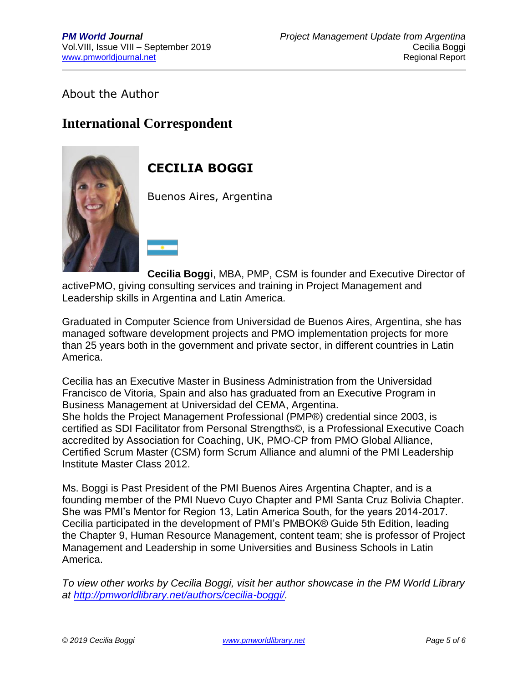#### About the Author

## **International Correspondent**



# **CECILIA BOGGI**

Buenos Aires, Argentina

**Cecilia Boggi**, MBA, PMP, CSM is founder and Executive Director of activePMO, giving consulting services and training in Project Management and Leadership skills in Argentina and Latin America.

Graduated in Computer Science from Universidad de Buenos Aires, Argentina, she has managed software development projects and PMO implementation projects for more than 25 years both in the government and private sector, in different countries in Latin America.

Cecilia has an Executive Master in Business Administration from the Universidad Francisco de Vitoria, Spain and also has graduated from an Executive Program in Business Management at Universidad del CEMA, Argentina. She holds the Project Management Professional (PMP®) credential since 2003, is certified as SDI Facilitator from Personal Strengths©, is a Professional Executive Coach accredited by Association for Coaching, UK, PMO-CP from PMO Global Alliance, Certified Scrum Master (CSM) form Scrum Alliance and alumni of the PMI Leadership Institute Master Class 2012.

Ms. Boggi is Past President of the PMI Buenos Aires Argentina Chapter, and is a founding member of the PMI Nuevo Cuyo Chapter and PMI Santa Cruz Bolivia Chapter. She was PMI's Mentor for Region 13, Latin America South, for the years 2014-2017. Cecilia participated in the development of PMI's PMBOK® Guide 5th Edition, leading the Chapter 9, Human Resource Management, content team; she is professor of Project Management and Leadership in some Universities and Business Schools in Latin America.

*To view other works by Cecilia Boggi, visit her author showcase in the PM World Library at [http://pmworldlibrary.net/authors/cecilia-boggi/.](http://pmworldlibrary.net/authors/cecilia-boggi/)*